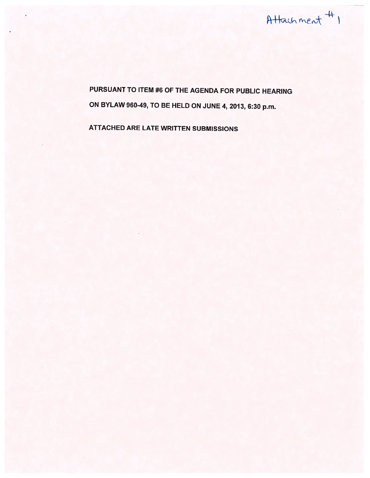

PURSUANT TO ITEM #6 OF THE AGENDA FOR PUBLIC HEARING ON BYLAW 960-49, TO BE HELD ON JUNE 4, 2013, 6:30 p.m.

ATTACHED ARE LATE WRITTEN SUBMISSIONS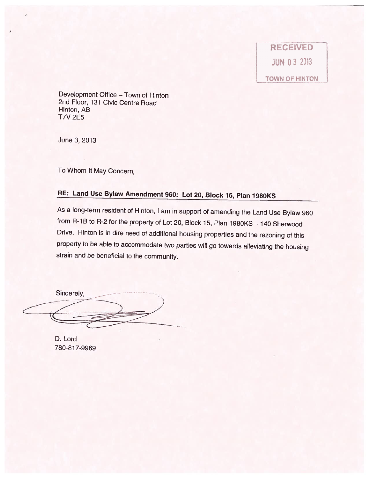**RECEIVED** JUN 03 2013

TOWN OF HINTON

Development Office — Town of Hinton 2nd Floor, 131 Civic Centre Road Hinton, AB T7V 2E5

June 3,2013

To Whom It May Concern,

## RE: Land Use Bylaw Amendment 960: Lot 20, Block 15, Plan 1980KS

As <sup>a</sup> long-term resident of Hinton, <sup>I</sup> am in support of amending the Land Use Bylaw <sup>960</sup> from R-1B to R-2 for the property of Lot 20, Block 15, Plan 1980KS - 140 Sherwood Drive. Hinton is in dire need of additional housing properties and the rezoning of this property to be able to accommodate two parties will go towards alleviating the housing strain and be beneficial to the community.

Sincerely,

D. Lord 780-817-9969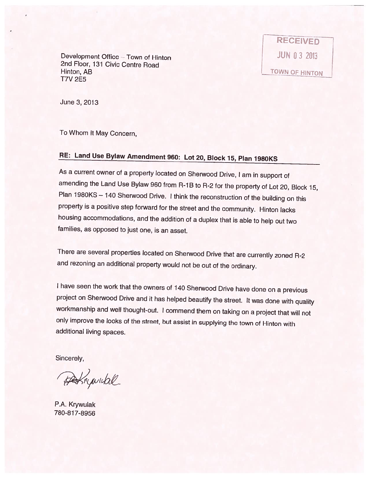Development Office – Town of Hinton JUN 0 3 2013 2nd Floor, 131 Civic Centre Road Hinton, AB LTOWN OF HINTON T7V 2E5

RECEIVED

June 3,2013

To Whom It May Concern,

## RE: Land Use Bylaw Amendment 960: Lot 20, Block 15, Plan 1980KS

As <sup>a</sup> current owner of <sup>a</sup> property located on Sherwood Drive, <sup>I</sup> am in support of amending the Land Use Bylaw 960 from R-1B to R-2 for the property of Lot 20, Block 15, Plan 1980KS - 140 Sherwood Drive. I think the reconstruction of the building on this property is <sup>a</sup> positive step forward for the street and the community. Hinton lacks housing accommodations, and the addition of <sup>a</sup> duplex that is able to help out two families, as opposed to just one, is an asset.

There are several properties located on Sherwood Drive that are currently zoned R-2 and rezoning an additional property would not be out of the ordinary.

<sup>I</sup> have seen the work that the owners of <sup>140</sup> Sherwood Drive have done on <sup>a</sup> previous project on Sherwood Drive and it has helped beautify the street. It was done with quality workmanship and well thought-out. <sup>I</sup> commend them on taking on <sup>a</sup> project that will not only improve the looks of the street, but assist in supplying the town of Hinton with additional living spaces.

Sincerely,

Perrywickl

P.A. Krywulak 780-817-8956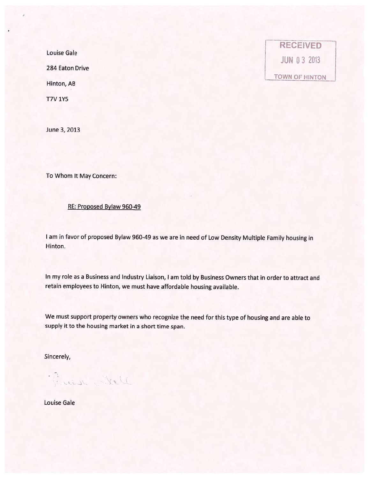Louise Gale

284 Eaton Drive

Hinton, AB

T7V 1Y5

June 3, 2013

To Whom It May Concern:

RE: Proposed Bylaw 960-49

<sup>I</sup> am in favor of propose<sup>d</sup> Bylaw 960-49 as we are in need of Low Density Multiple Family housing in Hinton.

In my role as <sup>a</sup> Business and Industry Liaison, <sup>I</sup> am told by Business Owners that in order to attract and retain employees to Hinton, we must have affordable housing available.

We must suppor<sup>t</sup> property owners who recognize the need for this type of housing and are able to supply it to the housing market in <sup>a</sup> short time span.

Sincerely,

Water rein?

Louise Gale

**RECEIVED** JUN 0 3 2013 TOWN OF HINTON